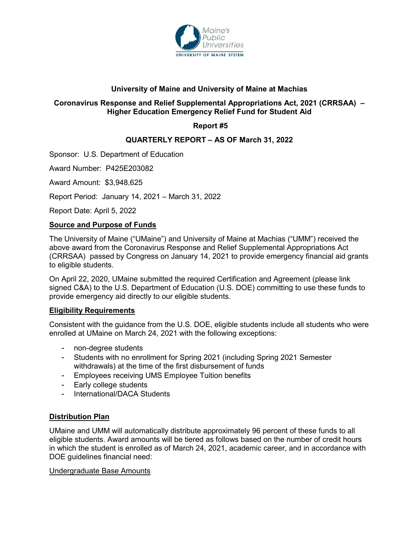

## **University of Maine and University of Maine at Machias**

## **Coronavirus Response and Relief Supplemental Appropriations Act, 2021 (CRRSAA) – Higher Education Emergency Relief Fund for Student Aid**

# **Report #5**

## **QUARTERLY REPORT – AS OF March 31, 2022**

Sponsor: U.S. Department of Education

Award Number: P425E203082

Award Amount: \$3,948,625

Report Period: January 14, 2021 – March 31, 2022

Report Date: April 5, 2022

### **Source and Purpose of Funds**

The University of Maine ("UMaine") and University of Maine at Machias ("UMM") received the above award from the Coronavirus Response and Relief Supplemental Appropriations Act (CRRSAA) passed by Congress on January 14, 2021 to provide emergency financial aid grants to eligible students.

On April 22, 2020, UMaine submitted the required Certification and Agreement (please link signed C&A) to the U.S. Department of Education (U.S. DOE) committing to use these funds to provide emergency aid directly to our eligible students.

### **Eligibility Requirements**

Consistent with the guidance from the U.S. DOE, eligible students include all students who were enrolled at UMaine on March 24, 2021 with the following exceptions:

- non-degree students
- Students with no enrollment for Spring 2021 (including Spring 2021 Semester withdrawals) at the time of the first disbursement of funds
- Employees receiving UMS Employee Tuition benefits
- Early college students
- International/DACA Students

## **Distribution Plan**

UMaine and UMM will automatically distribute approximately 96 percent of these funds to all eligible students. Award amounts will be tiered as follows based on the number of credit hours in which the student is enrolled as of March 24, 2021, academic career, and in accordance with DOE quidelines financial need:

### Undergraduate Base Amounts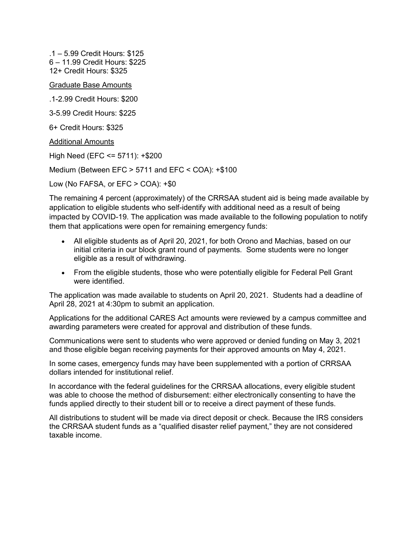.1 – 5.99 Credit Hours: \$125 6 – 11.99 Credit Hours: \$225 12+ Credit Hours: \$325

Graduate Base Amounts

.1-2.99 Credit Hours: \$200

3-5.99 Credit Hours: \$225

6+ Credit Hours: \$325

Additional Amounts

High Need (EFC <= 5711): +\$200

Medium (Between EFC > 5711 and EFC < COA): +\$100

Low (No FAFSA, or EFC > COA): +\$0

The remaining 4 percent (approximately) of the CRRSAA student aid is being made available by application to eligible students who self-identify with additional need as a result of being impacted by COVID-19. The application was made available to the following population to notify them that applications were open for remaining emergency funds:

- All eligible students as of April 20, 2021, for both Orono and Machias, based on our initial criteria in our block grant round of payments. Some students were no longer eligible as a result of withdrawing.
- From the eligible students, those who were potentially eligible for Federal Pell Grant were identified.

The application was made available to students on April 20, 2021. Students had a deadline of April 28, 2021 at 4:30pm to submit an application.

Applications for the additional CARES Act amounts were reviewed by a campus committee and awarding parameters were created for approval and distribution of these funds.

Communications were sent to students who were approved or denied funding on May 3, 2021 and those eligible began receiving payments for their approved amounts on May 4, 2021.

In some cases, emergency funds may have been supplemented with a portion of CRRSAA dollars intended for institutional relief.

In accordance with the federal guidelines for the CRRSAA allocations, every eligible student was able to choose the method of disbursement: either electronically consenting to have the funds applied directly to their student bill or to receive a direct payment of these funds.

All distributions to student will be made via direct deposit or check. Because the IRS considers the CRRSAA student funds as a "qualified disaster relief payment," they are not considered taxable income.